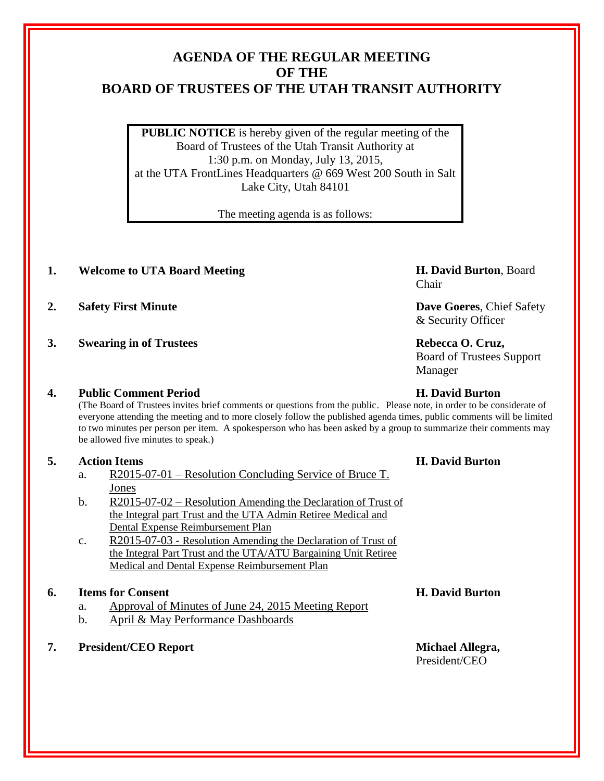## **AGENDA OF THE REGULAR MEETING OF THE BOARD OF TRUSTEES OF THE UTAH TRANSIT AUTHORITY**

**PUBLIC NOTICE** is hereby given of the regular meeting of the Board of Trustees of the Utah Transit Authority at 1:30 p.m. on Monday, July 13, 2015, at the UTA FrontLines Headquarters @ 669 West 200 South in Salt Lake City, Utah 84101

The meeting agenda is as follows:

- **1. Welcome to UTA Board Meeting H. David Burton**, Board
- **2. Safety First Minute Dave Goeres**, Chief Safety
- **3. Swearing in of Trustees Rebecca O. Cruz,**

## **4. Public Comment Period H. David Burton**

(The Board of Trustees invites brief comments or questions from the public. Please note, in order to be considerate of everyone attending the meeting and to more closely follow the published agenda times, public comments will be limited to two minutes per person per item. A spokesperson who has been asked by a group to summarize their comments may be allowed five minutes to speak.)

## **5. Action Items H. David Burton**

- a. R2015-07-01 Resolution Concluding Service of Bruce T. Jones
- b. R2015-07-02 Resolution Amending the Declaration of Trust of the Integral part Trust and the UTA Admin Retiree Medical and Dental Expense Reimbursement Plan
- c. R2015-07-03 Resolution Amending the Declaration of Trust of the Integral Part Trust and the UTA/ATU Bargaining Unit Retiree Medical and Dental Expense Reimbursement Plan

## **6. Items for Consent H. David Burton**

- a. Approval of Minutes of June 24, 2015 Meeting Report
- b. April & May Performance Dashboards
- **7. President/CEO Report Michael Allegra,**

Chair

& Security Officer

Board of Trustees Support Manager

# President/CEO